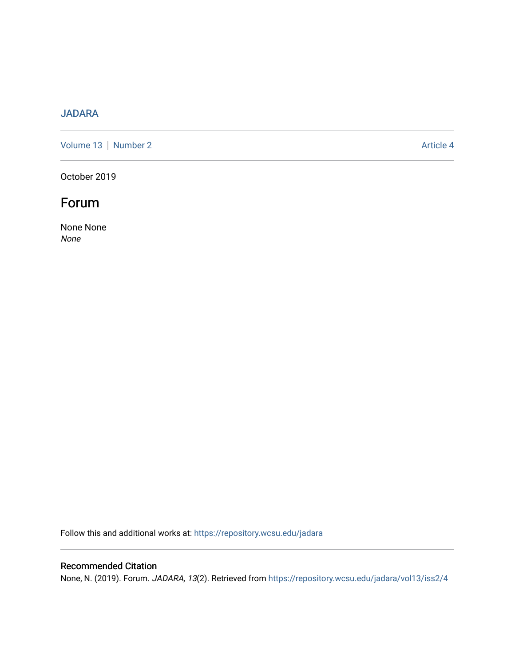# [JADARA](https://repository.wcsu.edu/jadara)

[Volume 13](https://repository.wcsu.edu/jadara/vol13) | [Number 2](https://repository.wcsu.edu/jadara/vol13/iss2) Article 4

October 2019

# Forum

None None None

Follow this and additional works at: [https://repository.wcsu.edu/jadara](https://repository.wcsu.edu/jadara?utm_source=repository.wcsu.edu%2Fjadara%2Fvol13%2Fiss2%2F4&utm_medium=PDF&utm_campaign=PDFCoverPages)

## Recommended Citation

None, N. (2019). Forum. JADARA, 13(2). Retrieved from [https://repository.wcsu.edu/jadara/vol13/iss2/4](https://repository.wcsu.edu/jadara/vol13/iss2/4?utm_source=repository.wcsu.edu%2Fjadara%2Fvol13%2Fiss2%2F4&utm_medium=PDF&utm_campaign=PDFCoverPages)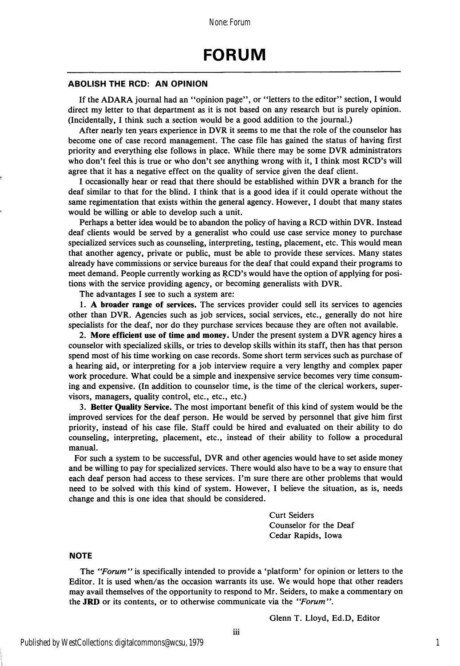#### ABOLISH THE ROD: AN OPINION

If the ADARA journal had an "opinion page", or "letters to the editor" section, I would direct my letter to that department as it is not based on any research but is purely opinion. (Incidentally, I think such a section would be a good addition to the journal.)

After nearly ten years experience in DVR it seems to me that the role of the counselor has become one of case record management. The case file has gained the status of having first priority and everything else follows in place. While there may be some DVR administrators who don't feel this is true or who don't see anything wrong with it, I think most RCD's will agree that it has a negative effect on the quality of service given the deaf client.

I occasionally hear or read that there should be established within DVR a branch for the deaf similar to that for the blind. I think that is a good idea if it could operate without the same regimentation that exists within the general agency. However, I doubt that many states would be willing or able to develop such a unit.

Perhaps a better idea would be to abandon the policy of having a RCD within DVR. Instead deaf clients would be served by a generalist who could use case service money to purchase specialized services such as counseling, interpreting, testing, placement, etc. This would mean that another agency, private or public, must be able to provide these services. Many states already have commissions or service bureaus for the deaf that could expand their programs to meet demand. People currently working as RCD's would have the option of applying for posi tions with the service providing agency, or becoming generalists with DVR.

The advantages I see to such a system are:

1. A broader range of services. The services provider could sell its services to agencies other than DVR. Agencies such as job services, social services, etc., generally do not hire specialists for the deaf, nor do they purchase services because they are often not available.

2. More efficient use of time and money. Under the present system a DVR agency hires a counselor with specialized skills, or tries to develop skills within its staff, then has that person spend most of his time working on case records. Some short term services such as purchase of a hearing aid, or interpreting for a job interview require a very lengthy and complex paper work procedure. What could be a simple and inexpensive service becomes very time consum ing and expensive. (In addition to counselor time, is the time of the clerical workers, super visors, managers, quality control, etc., etc., etc.)

3. Better Quality Service. The most important benefit of this kind of system would be the improved services for the deaf person. He would be served by personnel that give him first priority, instead of his case file. Staff could be hired and evaluated on their ability to do counseling, interpreting, placement, etc., instead of their ability to follow a procedural manual.

For such a system to be successful, DVR and other agencies would have to set aside money and be willing to pay for specialized services. There would also have to be a way to ensure that each deaf person had access to these services. I'm sure there are other problems that would need to be solved with this kind of system. However, I believe the situation, as is, needs change and this is one idea that should be considered.

> Curt Seiders Counselor for the Deaf Cedar Rapids, Iowa

## **NOTE**

The "Forum" is specifically intended to provide a 'platform' for opinion or letters to the Editor. It is used when/as the occasion warrants its use. We would hope that other readers may avail themselves of the opportunity to respond to Mr. Seiders, to make a commentary on the JRD or its contents, or to otherwise communicate via the "Forum",

Glenn T. Lloyd, Ed.D, Editor